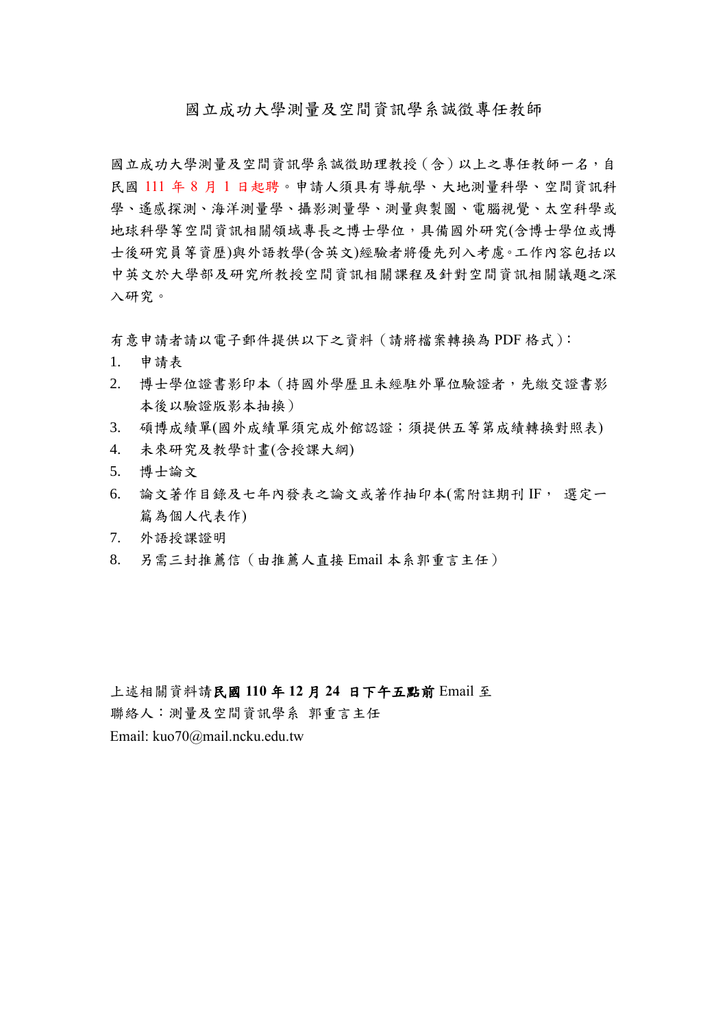## 國立成功大學測量及空間資訊學系誠徵專任教師

國立成功大學測量及空間資訊學系誠徵助理教授(含)以上之專任教師一名,自 民國 111 年 8 月 1 日起聘。申請人須具有導航學、大地測量科學、空間資訊科 學、遙感探測、海洋測量學、攝影測量學、測量與製圖、電腦視覺、太空科學或 地球科學等空間資訊相關領域專長之博士學位,具備國外研究(含博士學位或博 士後研究員等資歷)與外語教學(含英文)經驗者將優先列入考慮。工作內容包括以 中英文於大學部及研究所教授空間資訊相關課程及針對空間資訊相關議題之深 入研究。

有意申請者請以電子郵件提供以下之資料(請將檔案轉換為 PDF 格式):

- 1. 申請表
- 2. 博士學位證書影印本(持國外學歷且未經駐外單位驗證者,先繳交證書影 本後以驗證版影本抽換)
- 3. 碩博成績單(國外成績單須完成外館認證;須提供五等第成績轉換對照表)
- 4. 未來研究及教學計畫(含授課大綱)
- 5. 博士論文
- 6. 論文著作目錄及七年內發表之論文或著作抽印本(需附註期刊 IF, 選定一 篇為個人代表作)
- 7. 外語授課證明
- 8. 另需三封推薦信(由推薦人直接 Email 本系郭重言主任)

上述相關資料請民國 **110** 年 **12** 月 **24** 日下午五點前 Email 至

聯絡人:測量及空間資訊學系 郭重言主任

Email: kuo70@mail.ncku.edu.tw